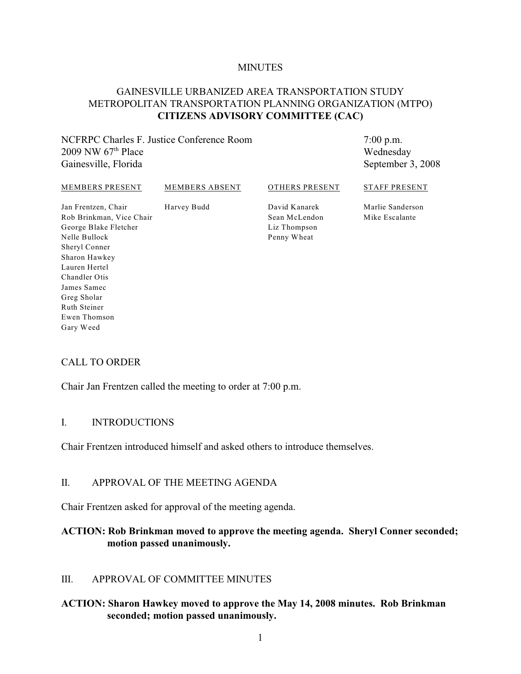#### **MINUTES**

## GAINESVILLE URBANIZED AREA TRANSPORTATION STUDY METROPOLITAN TRANSPORTATION PLANNING ORGANIZATION (MTPO) **CITIZENS ADVISORY COMMITTEE (CAC)**

NCFRPC Charles F. Justice Conference Room 2009 NW  $67<sup>th</sup>$  Place Gainesville, Florida

7:00 p.m. Wednesday September 3, 2008

#### MEMBERS PRESENT

MEMBERS ABSENT

Harvey Budd

#### OTHERS PRESENT

STAFF PRESENT

Jan Frentzen, Chair Rob Brinkman, Vice Chair George Blake Fletcher Nelle Bullock Sheryl Conner Sharon Hawkey Lauren Hertel Chandler Otis James Samec Greg Sholar Ruth Steiner Ewen Thomson Gary Weed

David Kanarek Sean McLendon Liz Thompson Penny Wheat

Marlie Sanderson Mike Escalante

#### CALL TO ORDER

Chair Jan Frentzen called the meeting to order at 7:00 p.m.

#### I. INTRODUCTIONS

Chair Frentzen introduced himself and asked others to introduce themselves.

#### II. APPROVAL OF THE MEETING AGENDA

Chair Frentzen asked for approval of the meeting agenda.

#### **ACTION: Rob Brinkman moved to approve the meeting agenda. Sheryl Conner seconded; motion passed unanimously.**

#### III. APPROVAL OF COMMITTEE MINUTES

#### **ACTION: Sharon Hawkey moved to approve the May 14, 2008 minutes. Rob Brinkman seconded; motion passed unanimously.**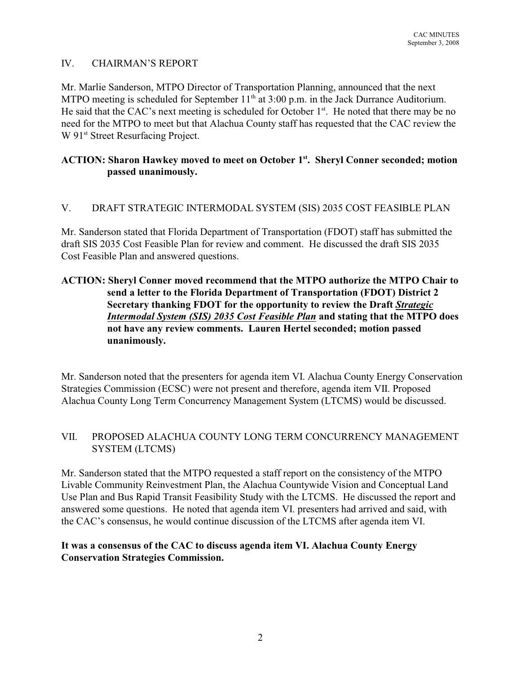# IV. CHAIRMAN'S REPORT

Mr. Marlie Sanderson, MTPO Director of Transportation Planning, announced that the next MTPO meeting is scheduled for September  $11<sup>th</sup>$  at 3:00 p.m. in the Jack Durrance Auditorium. He said that the CAC's next meeting is scheduled for October  $1<sup>st</sup>$ . He noted that there may be no need for the MTPO to meet but that Alachua County staff has requested that the CAC review the W 91<sup>st</sup> Street Resurfacing Project.

# **ACTION: Sharon Hawkey moved to meet on October 1<sup>st</sup>. Sheryl Conner seconded; motion passed unanimously.**

## V. DRAFT STRATEGIC INTERMODAL SYSTEM (SIS) 2035 COST FEASIBLE PLAN

Mr. Sanderson stated that Florida Department of Transportation (FDOT) staff has submitted the draft SIS 2035 Cost Feasible Plan for review and comment. He discussed the draft SIS 2035 Cost Feasible Plan and answered questions.

# **ACTION: Sheryl Conner moved recommend that the MTPO authorize the MTPO Chair to send a letter to the Florida Department of Transportation (FDOT) District 2 Secretary thanking FDOT for the opportunity to review the Draft** *Strategic Intermodal System (SIS) 2035 Cost Feasible Plan* **and stating that the MTPO does not have any review comments. Lauren Hertel seconded; motion passed unanimously.**

Mr. Sanderson noted that the presenters for agenda item VI. Alachua County Energy Conservation Strategies Commission (ECSC) were not present and therefore, agenda item VII. Proposed Alachua County Long Term Concurrency Management System (LTCMS) would be discussed.

## VII. PROPOSED ALACHUA COUNTY LONG TERM CONCURRENCY MANAGEMENT SYSTEM (LTCMS)

Mr. Sanderson stated that the MTPO requested a staff report on the consistency of the MTPO Livable Community Reinvestment Plan, the Alachua Countywide Vision and Conceptual Land Use Plan and Bus Rapid Transit Feasibility Study with the LTCMS. He discussed the report and answered some questions. He noted that agenda item VI. presenters had arrived and said, with the CAC's consensus, he would continue discussion of the LTCMS after agenda item VI.

## **It was a consensus of the CAC to discuss agenda item VI. Alachua County Energy Conservation Strategies Commission.**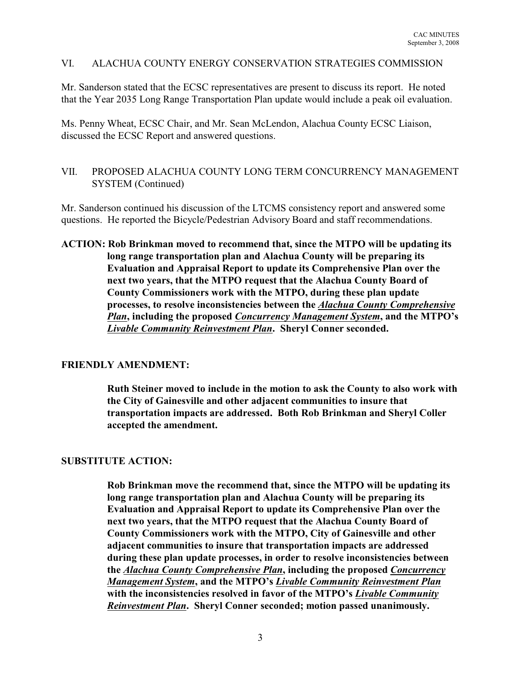#### VI. ALACHUA COUNTY ENERGY CONSERVATION STRATEGIES COMMISSION

Mr. Sanderson stated that the ECSC representatives are present to discuss its report. He noted that the Year 2035 Long Range Transportation Plan update would include a peak oil evaluation.

Ms. Penny Wheat, ECSC Chair, and Mr. Sean McLendon, Alachua County ECSC Liaison, discussed the ECSC Report and answered questions.

## VII. PROPOSED ALACHUA COUNTY LONG TERM CONCURRENCY MANAGEMENT SYSTEM (Continued)

Mr. Sanderson continued his discussion of the LTCMS consistency report and answered some questions. He reported the Bicycle/Pedestrian Advisory Board and staff recommendations.

**ACTION: Rob Brinkman moved to recommend that, since the MTPO will be updating its long range transportation plan and Alachua County will be preparing its Evaluation and Appraisal Report to update its Comprehensive Plan over the next two years, that the MTPO request that the Alachua County Board of County Commissioners work with the MTPO, during these plan update processes, to resolve inconsistencies between the** *Alachua County Comprehensive Plan***, including the proposed** *Concurrency Management System***, and the MTPO's** *Livable Community Reinvestment Plan***. Sheryl Conner seconded.**

#### **FRIENDLY AMENDMENT:**

**Ruth Steiner moved to include in the motion to ask the County to also work with the City of Gainesville and other adjacent communities to insure that transportation impacts are addressed. Both Rob Brinkman and Sheryl Coller accepted the amendment.**

#### **SUBSTITUTE ACTION:**

**Rob Brinkman move the recommend that, since the MTPO will be updating its long range transportation plan and Alachua County will be preparing its Evaluation and Appraisal Report to update its Comprehensive Plan over the next two years, that the MTPO request that the Alachua County Board of County Commissioners work with the MTPO, City of Gainesville and other adjacent communities to insure that transportation impacts are addressed during these plan update processes, in order to resolve inconsistencies between the** *Alachua County Comprehensive Plan***, including the proposed** *Concurrency Management System***, and the MTPO's** *Livable Community Reinvestment Plan* **with the inconsistencies resolved in favor of the MTPO's** *Livable Community Reinvestment Plan***. Sheryl Conner seconded; motion passed unanimously.**